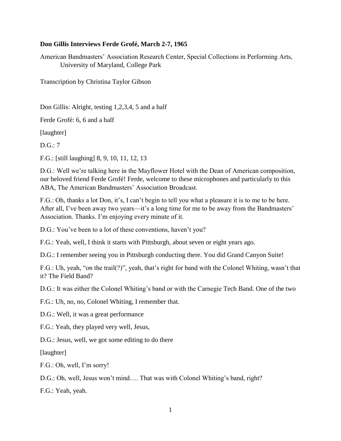## **Don Gillis Interviews Ferde Grofé, March 2-7, 1965**

American Bandmasters' Association Research Center, Special Collections in Performing Arts, University of Maryland, College Park

Transcription by Christina Taylor Gibson

Don Gillis: Alright, testing 1,2,3,4, 5 and a half

Ferde Grofé: 6, 6 and a half

[laughter]

 $D.G. : 7$ 

F.G.: [still laughing] 8, 9, 10, 11, 12, 13

D.G.: Well we're talking here in the Mayflower Hotel with the Dean of American composition, our beloved friend Ferde Grofé! Ferde, welcome to these microphones and particularly to this ABA, The American Bandmasters' Association Broadcast.

F.G.: Oh, thanks a lot Don, it's, I can't begin to tell you what a pleasure it is to me to be here. After all, I've been away two years—it's a long time for me to be away from the Bandmasters' Association. Thanks. I'm enjoying every minute of it.

D.G.: You've been to a lot of these conventions, haven't you?

F.G.: Yeah, well, I think it starts with Pittsburgh, about seven or eight years ago.

D.G.: I remember seeing you in Pittsburgh conducting there. You did Grand Canyon Suite!

F.G.: Uh, yeah, "on the trail(?)", yeah, that's right for band with the Colonel Whiting, wasn't that it? The Field Band?

D.G.: It was either the Colonel Whiting's band or with the Carnegie Tech Band. One of the two

F.G.: Uh, no, no, Colonel Whiting, I remember that.

D.G.: Well, it was a great performance

F.G.: Yeah, they played very well, Jesus,

D.G.: Jesus, well, we got some editing to do there

[laughter]

F.G.: Oh, well, I'm sorry!

D.G.: Oh, well, Jesus won't mind…. That was with Colonel Whiting's band, right?

F.G.: Yeah, yeah.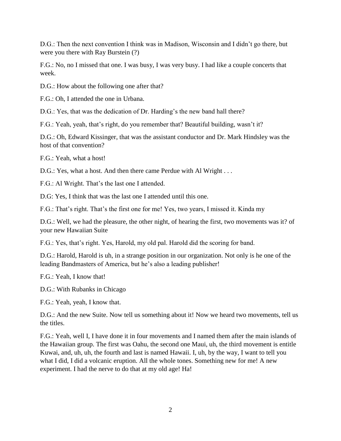D.G.: Then the next convention I think was in Madison, Wisconsin and I didn't go there, but were you there with Ray Burstein (?)

F.G.: No, no I missed that one. I was busy, I was very busy. I had like a couple concerts that week.

D.G.: How about the following one after that?

F.G.: Oh, I attended the one in Urbana.

D.G.: Yes, that was the dedication of Dr. Harding's the new band hall there?

F.G.: Yeah, yeah, that's right, do you remember that? Beautiful building, wasn't it?

D.G.: Oh, Edward Kissinger, that was the assistant conductor and Dr. Mark Hindsley was the host of that convention?

F.G.: Yeah, what a host!

D.G.: Yes, what a host. And then there came Perdue with Al Wright . . .

F.G.: Al Wright. That's the last one I attended.

D.G: Yes, I think that was the last one I attended until this one.

F.G.: That's right. That's the first one for me! Yes, two years, I missed it. Kinda my

D.G.: Well, we had the pleasure, the other night, of hearing the first, two movements was it? of your new Hawaiian Suite

F.G.: Yes, that's right. Yes, Harold, my old pal. Harold did the scoring for band.

D.G.: Harold, Harold is uh, in a strange position in our organization. Not only is he one of the leading Bandmasters of America, but he's also a leading publisher!

F.G.: Yeah, I know that!

D.G.: With Rubanks in Chicago

F.G.: Yeah, yeah, I know that.

D.G.: And the new Suite. Now tell us something about it! Now we heard two movements, tell us the titles.

F.G.: Yeah, well I, I have done it in four movements and I named them after the main islands of the Hawaiian group. The first was Oahu, the second one Maui, uh, the third movement is entitle Kuwai, and, uh, uh, the fourth and last is named Hawaii. I, uh, by the way, I want to tell you what I did, I did a volcanic eruption. All the whole tones. Something new for me! A new experiment. I had the nerve to do that at my old age! Ha!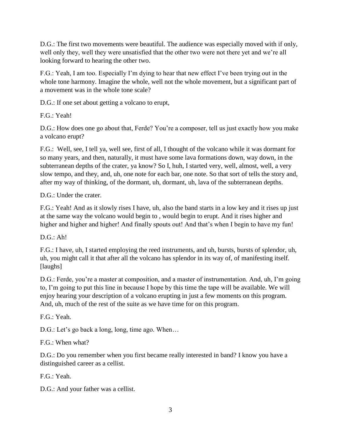D.G.: The first two movements were beautiful. The audience was especially moved with if only, well only they, well they were unsatisfied that the other two were not there yet and we're all looking forward to hearing the other two.

F.G.: Yeah, I am too. Especially I'm dying to hear that new effect I've been trying out in the whole tone harmony. Imagine the whole, well not the whole movement, but a significant part of a movement was in the whole tone scale?

D.G.: If one set about getting a volcano to erupt,

F.G.: Yeah!

D.G.: How does one go about that, Ferde? You're a composer, tell us just exactly how you make a volcano erupt?

F.G.: Well, see, I tell ya, well see, first of all, I thought of the volcano while it was dormant for so many years, and then, naturally, it must have some lava formations down, way down, in the subterranean depths of the crater, ya know? So I, huh, I started very, well, almost, well, a very slow tempo, and they, and, uh, one note for each bar, one note. So that sort of tells the story and, after my way of thinking, of the dormant, uh, dormant, uh, lava of the subterranean depths.

D.G.: Under the crater.

F.G.: Yeah! And as it slowly rises I have, uh, also the band starts in a low key and it rises up just at the same way the volcano would begin to , would begin to erupt. And it rises higher and higher and higher and higher! And finally spouts out! And that's when I begin to have my fun!

 $D.G.: Ah!$ 

F.G.: I have, uh, I started employing the reed instruments, and uh, bursts, bursts of splendor, uh, uh, you might call it that after all the volcano has splendor in its way of, of manifesting itself. [laughs]

D.G.: Ferde, you're a master at composition, and a master of instrumentation. And, uh, I'm going to, I'm going to put this line in because I hope by this time the tape will be available. We will enjoy hearing your description of a volcano erupting in just a few moments on this program. And, uh, much of the rest of the suite as we have time for on this program.

F.G.: Yeah.

D.G.: Let's go back a long, long, time ago. When…

F.G.: When what?

D.G.: Do you remember when you first became really interested in band? I know you have a distinguished career as a cellist.

F.G.: Yeah.

D.G.: And your father was a cellist.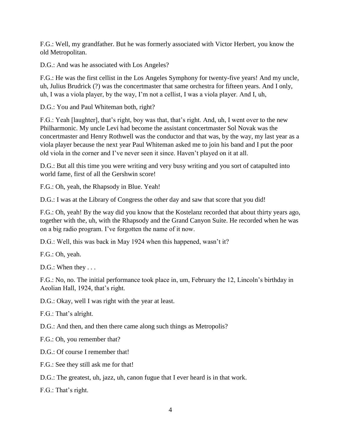F.G.: Well, my grandfather. But he was formerly associated with Victor Herbert, you know the old Metropolitan.

D.G.: And was he associated with Los Angeles?

F.G.: He was the first cellist in the Los Angeles Symphony for twenty-five years! And my uncle, uh, Julius Brudrick (?) was the concertmaster that same orchestra for fifteen years. And I only, uh, I was a viola player, by the way, I'm not a cellist, I was a viola player. And I, uh,

D.G.: You and Paul Whiteman both, right?

F.G.: Yeah [laughter], that's right, boy was that, that's right. And, uh, I went over to the new Philharmonic. My uncle Levi had become the assistant concertmaster Sol Novak was the concertmaster and Henry Rothwell was the conductor and that was, by the way, my last year as a viola player because the next year Paul Whiteman asked me to join his band and I put the poor old viola in the corner and I've never seen it since. Haven't played on it at all.

D.G.: But all this time you were writing and very busy writing and you sort of catapulted into world fame, first of all the Gershwin score!

F.G.: Oh, yeah, the Rhapsody in Blue. Yeah!

D.G.: I was at the Library of Congress the other day and saw that score that you did!

F.G.: Oh, yeah! By the way did you know that the Kostelanz recorded that about thirty years ago, together with the, uh, with the Rhapsody and the Grand Canyon Suite. He recorded when he was on a big radio program. I've forgotten the name of it now.

D.G.: Well, this was back in May 1924 when this happened, wasn't it?

F.G.: Oh, yeah.

D.G.: When they ...

F.G.: No, no. The initial performance took place in, um, February the 12, Lincoln's birthday in Aeolian Hall, 1924, that's right.

D.G.: Okay, well I was right with the year at least.

F.G.: That's alright.

D.G.: And then, and then there came along such things as Metropolis?

F.G.: Oh, you remember that?

D.G.: Of course I remember that!

F.G.: See they still ask me for that!

D.G.: The greatest, uh, jazz, uh, canon fugue that I ever heard is in that work.

F.G.: That's right.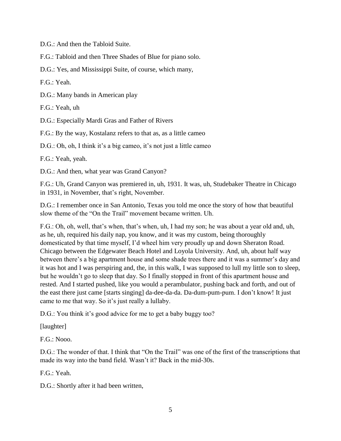D.G.: And then the Tabloid Suite.

F.G.: Tabloid and then Three Shades of Blue for piano solo.

D.G.: Yes, and Mississippi Suite, of course, which many,

F.G.: Yeah.

D.G.: Many bands in American play

F.G.: Yeah, uh

D.G.: Especially Mardi Gras and Father of Rivers

F.G.: By the way, Kostalanz refers to that as, as a little cameo

D.G.: Oh, oh, I think it's a big cameo, it's not just a little cameo

F.G.: Yeah, yeah.

D.G.: And then, what year was Grand Canyon?

F.G.: Uh, Grand Canyon was premiered in, uh, 1931. It was, uh, Studebaker Theatre in Chicago in 1931, in November, that's right, November.

D.G.: I remember once in San Antonio, Texas you told me once the story of how that beautiful slow theme of the "On the Trail" movement became written. Uh.

F.G.: Oh, oh, well, that's when, that's when, uh, I had my son; he was about a year old and, uh, as he, uh, required his daily nap, you know, and it was my custom, being thoroughly domesticated by that time myself, I'd wheel him very proudly up and down Sheraton Road. Chicago between the Edgewater Beach Hotel and Loyola University. And, uh, about half way between there's a big apartment house and some shade trees there and it was a summer's day and it was hot and I was perspiring and, the, in this walk, I was supposed to lull my little son to sleep, but he wouldn't go to sleep that day. So I finally stopped in front of this apartment house and rested. And I started pushed, like you would a perambulator, pushing back and forth, and out of the east there just came [starts singing] da-dee-da-da. Da-dum-pum-pum. I don't know! It just came to me that way. So it's just really a lullaby.

D.G.: You think it's good advice for me to get a baby buggy too?

[laughter]

F.G.: Nooo.

D.G.: The wonder of that. I think that "On the Trail" was one of the first of the transcriptions that made its way into the band field. Wasn't it? Back in the mid-30s.

F.G.: Yeah.

D.G.: Shortly after it had been written,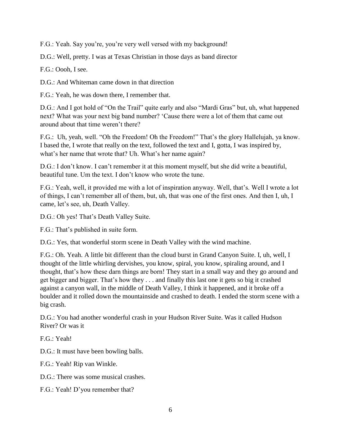F.G.: Yeah. Say you're, you're very well versed with my background!

D.G.: Well, pretty. I was at Texas Christian in those days as band director

F.G.: Oooh, I see.

D.G.: And Whiteman came down in that direction

F.G.: Yeah, he was down there, I remember that.

D.G.: And I got hold of "On the Trail" quite early and also "Mardi Gras" but, uh, what happened next? What was your next big band number? 'Cause there were a lot of them that came out around about that time weren't there?

F.G.: Uh, yeah, well. "Oh the Freedom! Oh the Freedom!" That's the glory Hallelujah, ya know. I based the, I wrote that really on the text, followed the text and I, gotta, I was inspired by, what's her name that wrote that? Uh. What's her name again?

D.G.: I don't know. I can't remember it at this moment myself, but she did write a beautiful, beautiful tune. Um the text. I don't know who wrote the tune.

F.G.: Yeah, well, it provided me with a lot of inspiration anyway. Well, that's. Well I wrote a lot of things, I can't remember all of them, but, uh, that was one of the first ones. And then I, uh, I came, let's see, uh, Death Valley.

D.G.: Oh yes! That's Death Valley Suite.

F.G.: That's published in suite form.

D.G.: Yes, that wonderful storm scene in Death Valley with the wind machine.

F.G.: Oh. Yeah. A little bit different than the cloud burst in Grand Canyon Suite. I, uh, well, I thought of the little whirling dervishes, you know, spiral, you know, spiraling around, and I thought, that's how these darn things are born! They start in a small way and they go around and get bigger and bigger. That's how they . . . and finally this last one it gets so big it crashed against a canyon wall, in the middle of Death Valley, I think it happened, and it broke off a boulder and it rolled down the mountainside and crashed to death. I ended the storm scene with a big crash.

D.G.: You had another wonderful crash in your Hudson River Suite. Was it called Hudson River? Or was it

F.G.: Yeah!

D.G.: It must have been bowling balls.

F.G.: Yeah! Rip van Winkle.

D.G.: There was some musical crashes.

F.G.: Yeah! D'you remember that?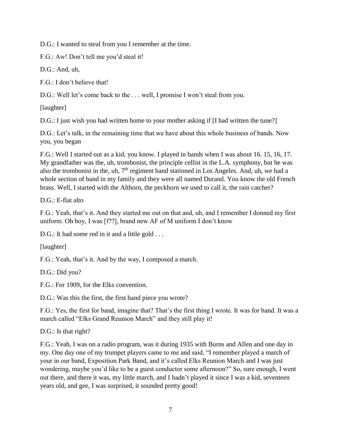D.G.: I wanted to steal from you I remember at the time.

F.G.: Aw! Don't tell me you'd steal it!

D.G.: And, uh,

F.G.: I don't believe that!

D.G.: Well let's come back to the . . . well, I promise I won't steal from you.

[laughter]

D.G.: I just wish you had written home to your mother asking if [I had written the tune?]

D.G.: Let's talk, in the remaining time that we have about this whole business of bands. Now you, you began

F.G.: Well I started out as a kid, you know. I played in bands when I was about 16. 15, 16, 17. My grandfather was the, uh, trombonist, the principle cellist in the L.A. symphony, but he was also the trombonist in the, uh,  $7<sup>th</sup>$  regiment band stationed in Los Angeles. And, uh, we had a whole section of band in my family and they were all named Durand. You know the old French brass. Well, I started with the Althorn, the peckhorn we used to call it, the rain catcher?

D.G.: E-flat alto

F.G.: Yeah, that's it. And they started me out on that and, uh, and I remember I donned my first uniform. Oh boy, I was [f??], brand new AF of M uniform I don't know

D.G.: It had some red in it and a little gold . . .

[laughter]

F.G.: Yeah, that's it. And by the way, I composed a march.

D.G.: Did you?

F.G.: For 1909, for the Elks convention.

D.G.: Was this the first, the first band piece you wrote?

F.G.: Yes, the first for band, imagine that? That's the first thing I wrote. It was for band. It was a march called "Elks Grand Reunion March" and they still play it!

D.G.: Is that right?

F.G.: Yeah, I was on a radio program, was it during 1935 with Burns and Allen and one day in my. One day one of my trumpet players came to me and said, "I remember played a march of your in our band, Exposition Park Band, and it's called Elks Reunion March and I was just wondering, maybe you'd like to be a guest conductor some afternoon?" So, sure enough, I went out there, and there it was, my little march, and I hadn't played it since I was a kid, seventeen years old, and gee, I was surprised, it sounded pretty good!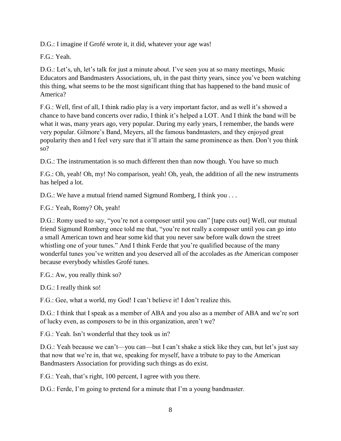D.G.: I imagine if Grofé wrote it, it did, whatever your age was!

F.G.: Yeah.

D.G.: Let's, uh, let's talk for just a minute about. I've seen you at so many meetings, Music Educators and Bandmasters Associations, uh, in the past thirty years, since you've been watching this thing, what seems to be the most significant thing that has happened to the band music of America?

F.G.: Well, first of all, I think radio play is a very important factor, and as well it's showed a chance to have band concerts over radio, I think it's helped a LOT. And I think the band will be what it was, many years ago, very popular. During my early years, I remember, the bands were very popular. Gilmore's Band, Meyers, all the famous bandmasters, and they enjoyed great popularity then and I feel very sure that it'll attain the same prominence as then. Don't you think so?

D.G.: The instrumentation is so much different then than now though. You have so much

F.G.: Oh, yeah! Oh, my! No comparison, yeah! Oh, yeah, the addition of all the new instruments has helped a lot.

D.G.: We have a mutual friend named Sigmund Romberg, I think you . . .

F.G.: Yeah, Romy? Oh, yeah!

D.G.: Romy used to say, "you're not a composer until you can" [tape cuts out] Well, our mutual friend Sigmund Romberg once told me that, "you're not really a composer until you can go into a small American town and hear some kid that you never saw before walk down the street whistling one of your tunes." And I think Ferde that you're qualified because of the many wonderful tunes you've written and you deserved all of the accolades as *the* American composer because everybody whistles Grofé tunes.

F.G.: Aw, you really think so?

D.G.: I really think so!

F.G.: Gee, what a world, my God! I can't believe it! I don't realize this.

D.G.: I think that I speak as a member of ABA and you also as a member of ABA and we're sort of lucky even, as composers to be in this organization, aren't we?

F.G.: Yeah. Isn't wonderful that they took us in?

D.G.: Yeah because we can't—you can—but I can't shake a stick like they can, but let's just say that now that we're in, that we, speaking for myself, have a tribute to pay to the American Bandmasters Association for providing such things as do exist.

F.G.: Yeah, that's right, 100 percent, I agree with you there.

D.G.: Ferde, I'm going to pretend for a minute that I'm a young bandmaster.